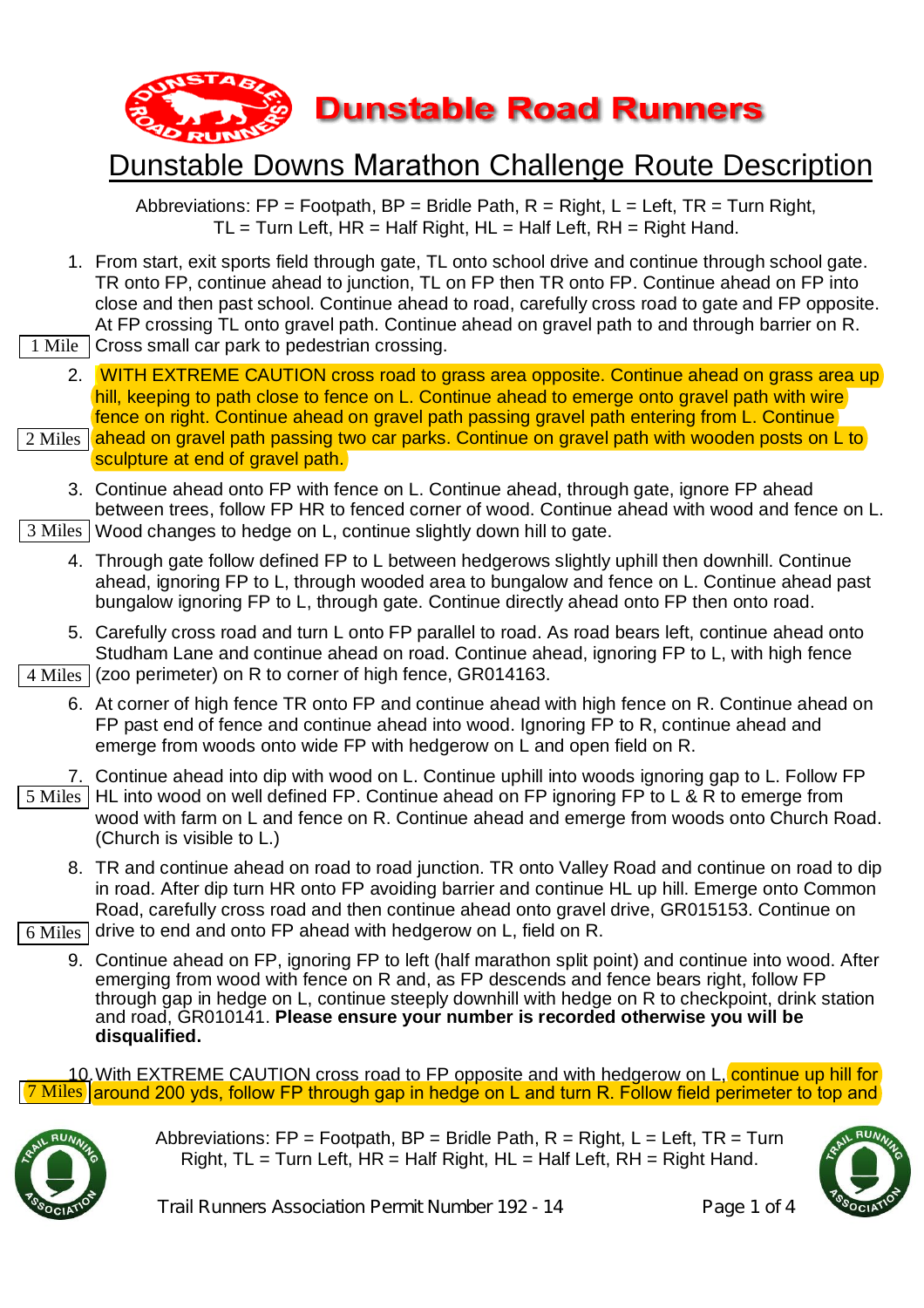

Abbreviations:  $FP = Footpath$ ,  $BP = Bridge$  Path,  $R = Right$ ,  $L = Left$ ,  $TR = Turn Right$ ,  $TL = Turn Left$ ,  $HR = Half Right$ ,  $HL = Half Left$ ,  $RH = Right Hand$ .

- 1. From start, exit sports field through gate, TL onto school drive and continue through school gate. TR onto FP, continue ahead to junction, TL on FP then TR onto FP. Continue ahead on FP into close and then past school. Continue ahead to road, carefully cross road to gate and FP opposite. At FP crossing TL onto gravel path. Continue ahead on gravel path to and through barrier on R.
- Cross small car park to pedestrian crossing. 1 Mile
	- 2. WITH EXTREME CAUTION cross road to grass area opposite. Continue ahead on grass area up hill, keeping to path close to fence on L. Continue ahead to emerge onto gravel path with wire fence on right. Continue ahead on gravel path passing gravel path entering from L. Continue
- 2 Miles  $\vert$ ahead on gravel path passing two car parks. Continue on gravel path with wooden posts on L to sculpture at end of gravel path.
- 3. Continue ahead onto FP with fence on L. Continue ahead, through gate, ignore FP ahead between trees, follow FP HR to fenced corner of wood. Continue ahead with wood and fence on L. 3 Miles | Wood changes to hedge on L, continue slightly down hill to gate.
	- 4. Through gate follow defined FP to L between hedgerows slightly uphill then downhill. Continue ahead, ignoring FP to L, through wooded area to bungalow and fence on L. Continue ahead past bungalow ignoring FP to L, through gate. Continue directly ahead onto FP then onto road.
	- 5. Carefully cross road and turn L onto FP parallel to road. As road bears left, continue ahead onto Studham Lane and continue ahead on road. Continue ahead, ignoring FP to L, with high fence

 $4 \text{ Miles} \mid$  (zoo perimeter) on R to corner of high fence, GR014163.

- 6. At corner of high fence TR onto FP and continue ahead with high fence on R. Continue ahead on FP past end of fence and continue ahead into wood. Ignoring FP to R, continue ahead and emerge from woods onto wide FP with hedgerow on L and open field on R.
- 7. Continue ahead into dip with wood on L. Continue uphill into woods ignoring gap to L. Follow FP 5 Miles | HL into wood on well defined FP. Continue ahead on FP ignoring FP to L & R to emerge from wood with farm on L and fence on R. Continue ahead and emerge from woods onto Church Road. (Church is visible to L.)
	- 8. TR and continue ahead on road to road junction. TR onto Valley Road and continue on road to dip in road. After dip turn HR onto FP avoiding barrier and continue HL up hill. Emerge onto Common Road, carefully cross road and then continue ahead onto gravel drive, GR015153. Continue on

 $6$  Miles  $\vert$  drive to end and onto FP ahead with hedgerow on L, field on R.

9. Continue ahead on FP, ignoring FP to left (half marathon split point) and continue into wood. After emerging from wood with fence on R and, as FP descends and fence bears right, follow FP through gap in hedge on L, continue steeply downhill with hedge on R to checkpoint, drink station and road, GR010141. **Please ensure your number is recorded otherwise you will be disqualified.**

10. With EXTREME CAUTION cross road to FP opposite and with hedgerow on L, continue up hill for Miles around 200 yds, follow FP through gap in hedge on L and turn R. Follow field perimeter to top and



Abbreviations:  $FP = Footpath$ ,  $BP = Bridge$  Path,  $R = Right$ ,  $L = Left$ ,  $TR = Turn$ Right,  $TL = Turn$  Left,  $HR = Half$  Right,  $HL = Half$  Left,  $RH = Right$  Hand.



Trail Runners Association Permit Number 192 - 14 Page 1 of 4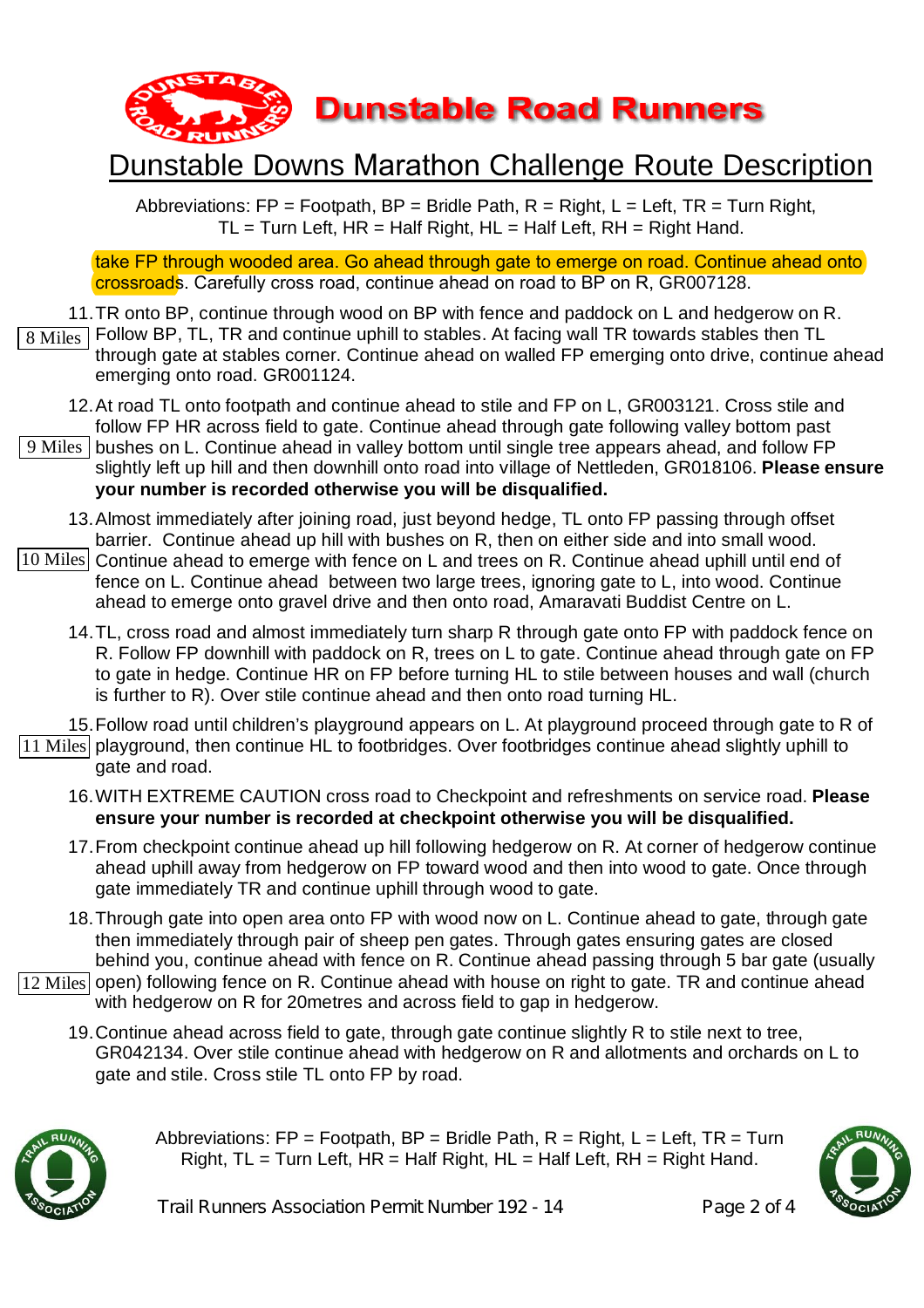

Abbreviations:  $FP = Footpath$ ,  $BP = Bridge$  Path,  $R = Right$ ,  $L = Left$ ,  $TR = Turn Right$ ,  $TL = Turn Left$ ,  $HR = Half Right$ ,  $HL = Half Left$ ,  $RH = Right Hand$ .

take FP through wooded area. Go ahead through gate to emerge on road. Continue ahead onto crossroads. Carefully cross road, continue ahead on road to BP on R, GR007128.

- 11. TR onto BP, continue through wood on BP with fence and paddock on L and hedgerow on R.
- Follow BP, TL, TR and continue uphill to stables. At facing wall TR towards stables then TL through gate at stables corner. Continue ahead on walled FP emerging onto drive, continue ahead emerging onto road. GR001124. 8 Miles
	- 12. At road TL onto footpath and continue ahead to stile and FP on L, GR003121. Cross stile and follow FP HR across field to gate. Continue ahead through gate following valley bottom past
- 9 Miles | bushes on L. Continue ahead in valley bottom until single tree appears ahead, and follow FP slightly left up hill and then downhill onto road into village of Nettleden, GR018106. **Please ensure your number is recorded otherwise you will be disqualified.**
	- 13. Almost immediately after joining road, just beyond hedge, TL onto FP passing through offset barrier. Continue ahead up hill with bushes on R, then on either side and into small wood.
- 10 Miles Continue ahead to emerge with fence on L and trees on R. Continue ahead uphill until end of fence on L. Continue ahead between two large trees, ignoring gate to L, into wood. Continue ahead to emerge onto gravel drive and then onto road, Amaravati Buddist Centre on L.
	- 14. TL, cross road and almost immediately turn sharp R through gate onto FP with paddock fence on R. Follow FP downhill with paddock on R, trees on L to gate. Continue ahead through gate on FP to gate in hedge. Continue HR on FP before turning HL to stile between houses and wall (church is further to R). Over stile continue ahead and then onto road turning HL.

15. Follow road until children's playground appears on L. At playground proceed through gate to R of 11 Miles playground, then continue HL to footbridges. Over footbridges continue ahead slightly uphill to gate and road.

- 16. WITH EXTREME CAUTION cross road to Checkpoint and refreshments on service road. **Please ensure your number is recorded at checkpoint otherwise you will be disqualified.**
- 17. From checkpoint continue ahead up hill following hedgerow on R. At corner of hedgerow continue ahead uphill away from hedgerow on FP toward wood and then into wood to gate. Once through gate immediately TR and continue uphill through wood to gate.
- 18. Through gate into open area onto FP with wood now on L. Continue ahead to gate, through gate then immediately through pair of sheep pen gates. Through gates ensuring gates are closed behind you, continue ahead with fence on R. Continue ahead passing through 5 bar gate (usually
- 12 Miles open) following fence on R. Continue ahead with house on right to gate. TR and continue ahead with hedgerow on R for 20metres and across field to gap in hedgerow.
	- 19. Continue ahead across field to gate, through gate continue slightly R to stile next to tree, GR042134. Over stile continue ahead with hedgerow on R and allotments and orchards on L to gate and stile. Cross stile TL onto FP by road.



Abbreviations:  $FP = Footpath$ .  $BP = Bridle$  Path,  $R = Right$ .  $L = Left$ .  $TR = Turn$ Right,  $TL = Turn$  Left,  $HR = Half$  Right,  $HL = Half$  Left,  $RH = Right$  Hand.



Trail Runners Association Permit Number 192 - 14 Page 2 of 4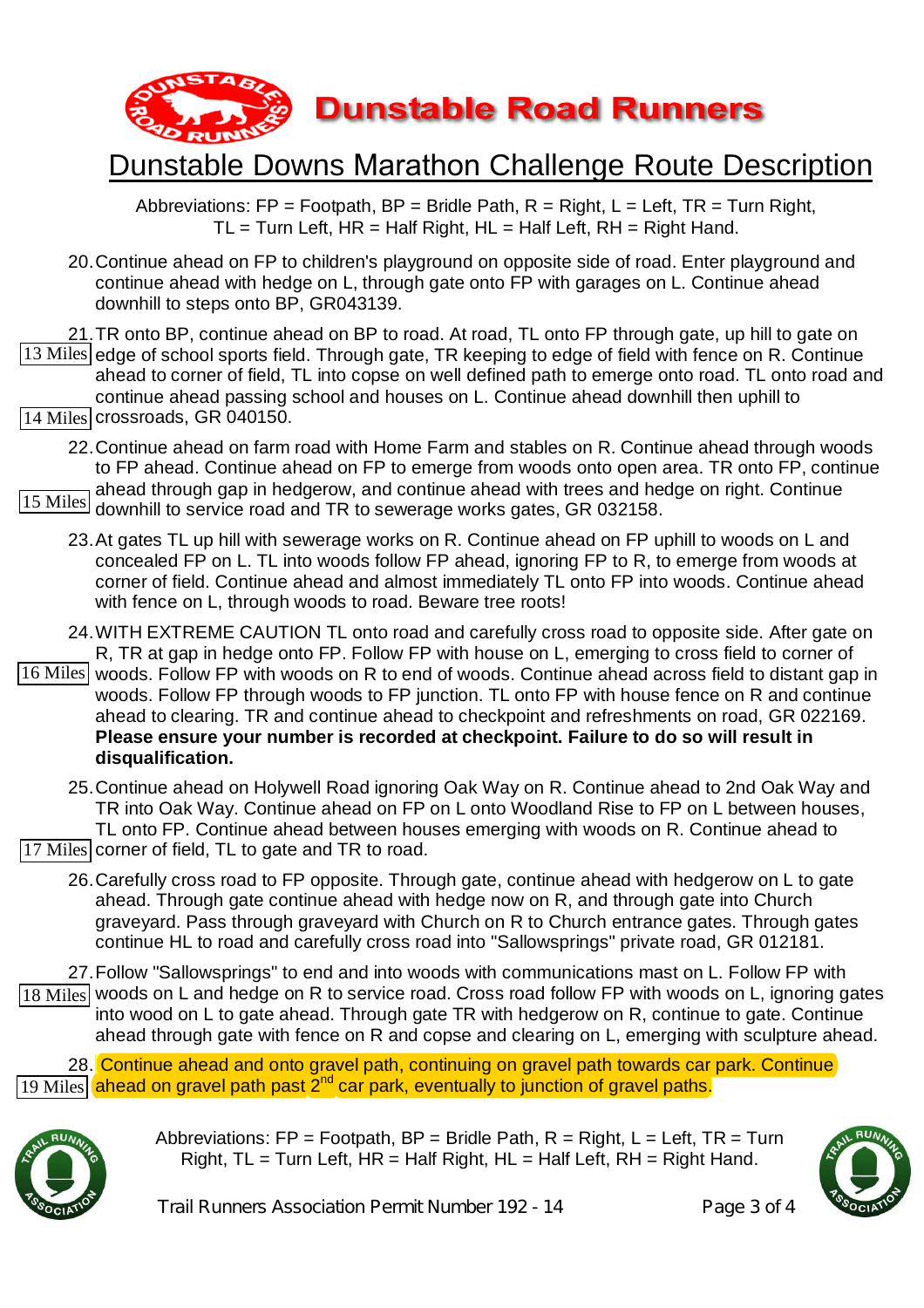

Abbreviations:  $FP = Footpath$ ,  $BP = Bridge$  Path,  $R = Right$ ,  $L = Left$ ,  $TR = Turn Right$ ,  $TL = Turn$  Left,  $HR = Half$  Right,  $HL = Half$  Left,  $RH = Right$  Hand.

20.Continue ahead on FP to children's playground on opposite side of road. Enter playground and continue ahead with hedge on L, through gate onto FP with garages on L. Continue ahead downhill to steps onto BP, GR043139.

21.TR onto BP, continue ahead on BP to road. At road, TL onto FP through gate, up hill to gate on 13 Miles edge of school sports field. Through gate, TR keeping to edge of field with fence on R. Continue ahead to corner of field, TL into copse on well defined path to emerge onto road. TL onto road and continue ahead passing school and houses on L. Continue ahead downhill then uphill to 14 Miles crossroads, GR 040150.

22.Continue ahead on farm road with Home Farm and stables on R. Continue ahead through woods to FP ahead. Continue ahead on FP to emerge from woods onto open area. TR onto FP, continue ahead through gap in hedgerow, and continue ahead with trees and hedge on right. Continue 15 Miles] allow this down begin gap in houghtour, and continued allowed with these and ho

- 23.At gates TL up hill with sewerage works on R. Continue ahead on FP uphill to woods on L and concealed FP on L. TL into woods follow FP ahead, ignoring FP to R, to emerge from woods at corner of field. Continue ahead and almost immediately TL onto FP into woods. Continue ahead with fence on L, through woods to road. Beware tree roots!
- 24.WITH EXTREME CAUTION TL onto road and carefully cross road to opposite side. After gate on R, TR at gap in hedge onto FP. Follow FP with house on L, emerging to cross field to corner of
- 16 Miles woods. Follow FP with woods on R to end of woods. Continue ahead across field to distant gap in woods. Follow FP through woods to FP junction. TL onto FP with house fence on R and continue ahead to clearing. TR and continue ahead to checkpoint and refreshments on road, GR 022169. **Please ensure your number is recorded at checkpoint. Failure to do so will result in disqualification.**
- 25.Continue ahead on Holywell Road ignoring Oak Way on R. Continue ahead to 2nd Oak Way and TR into Oak Way. Continue ahead on FP on L onto Woodland Rise to FP on L between houses, TL onto FP. Continue ahead between houses emerging with woods on R. Continue ahead to 17 Miles corner of field, TL to gate and TR to road.
	- 26.Carefully cross road to FP opposite. Through gate, continue ahead with hedgerow on L to gate ahead. Through gate continue ahead with hedge now on R, and through gate into Church graveyard. Pass through graveyard with Church on R to Church entrance gates. Through gates continue HL to road and carefully cross road into "Sallowsprings" private road, GR 012181.

27.Follow "Sallowsprings" to end and into woods with communications mast on L. Follow FP with 18 Miles woods on L and hedge on R to service road. Cross road follow FP with woods on L, ignoring gates into wood on L to gate ahead. Through gate TR with hedgerow on R, continue to gate. Continue ahead through gate with fence on R and copse and clearing on L, emerging with sculpture ahead.

28. Continue ahead and onto gravel path, continuing on gravel path towards car park. Continue 19 Miles ahead on gravel path past 2<sup>nd</sup> car park, eventually to junction of gravel paths.



Abbreviations:  $FP = Footpath$ .  $BP = Bridle Path$ .  $R = Richt$ .  $L = Left$ .  $TR = Turn$ Right,  $TL = Turn$  Left,  $HR = Half$  Right,  $HL = Half$  Left,  $RH = Right$  Hand.



Trail Runners Association Permit Number 192 - 14 Page 3 of 4